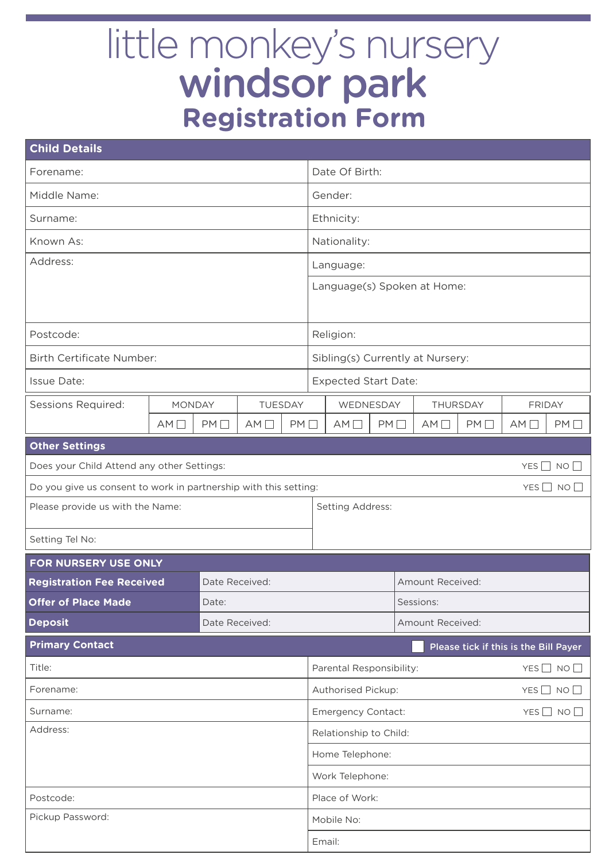## **Registration Form** little monkey's nursery windsor park

| <b>Child Details</b>                                             |                 |                |    |                                |                                          |           |                                  |                           |                                       |        |
|------------------------------------------------------------------|-----------------|----------------|----|--------------------------------|------------------------------------------|-----------|----------------------------------|---------------------------|---------------------------------------|--------|
| Forename:                                                        |                 |                |    |                                | Date Of Birth:                           |           |                                  |                           |                                       |        |
| Middle Name:                                                     |                 |                |    |                                | Gender:                                  |           |                                  |                           |                                       |        |
| Surname:                                                         |                 |                |    |                                | Ethnicity:                               |           |                                  |                           |                                       |        |
| Known As:                                                        |                 |                |    |                                | Nationality:                             |           |                                  |                           |                                       |        |
| Address:                                                         |                 |                |    |                                | Language:                                |           |                                  |                           |                                       |        |
|                                                                  |                 |                |    |                                | Language(s) Spoken at Home:              |           |                                  |                           |                                       |        |
| Postcode:                                                        |                 |                |    |                                | Religion:                                |           |                                  |                           |                                       |        |
| <b>Birth Certificate Number:</b>                                 |                 |                |    |                                |                                          |           | Sibling(s) Currently at Nursery: |                           |                                       |        |
| Issue Date:                                                      |                 |                |    |                                | <b>Expected Start Date:</b>              |           |                                  |                           |                                       |        |
| <b>Sessions Required:</b>                                        | <b>MONDAY</b>   | TUESDAY        |    |                                | WEDNESDAY                                |           |                                  | THURSDAY<br><b>FRIDAY</b> |                                       |        |
|                                                                  | AM <sub>1</sub> | $PM \Box$      | AM | $PM \Box$                      | AM <sub>1</sub>                          | $PM \Box$ | AM <sub>1</sub>                  | PM                        | AM                                    | PM     |
| <b>Other Settings</b>                                            |                 |                |    |                                |                                          |           |                                  |                           |                                       |        |
| Does your Child Attend any other Settings:                       |                 |                |    |                                |                                          |           |                                  |                           |                                       | YES NO |
| Do you give us consent to work in partnership with this setting: |                 |                |    |                                | YES NO                                   |           |                                  |                           |                                       |        |
| Please provide us with the Name:                                 |                 |                |    |                                | Setting Address:                         |           |                                  |                           |                                       |        |
| Setting Tel No:                                                  |                 |                |    |                                |                                          |           |                                  |                           |                                       |        |
| FOR NURSERY USE ONLY                                             |                 |                |    |                                |                                          |           |                                  |                           |                                       |        |
| <b>Registration Fee Received</b>                                 |                 | Date Received: |    |                                | Amount Received:                         |           |                                  |                           |                                       |        |
| <b>Offer of Place Made</b>                                       |                 | Date:          |    |                                | Sessions:                                |           |                                  |                           |                                       |        |
| <b>Deposit</b>                                                   |                 | Date Received: |    |                                |                                          |           | Amount Received:                 |                           |                                       |        |
| <b>Primary Contact</b>                                           |                 |                |    |                                |                                          |           |                                  |                           | Please tick if this is the Bill Payer |        |
| Title:                                                           |                 |                |    | Parental Responsibility:       |                                          |           | $YES \Box NO \Box$               |                           |                                       |        |
| Forename:                                                        |                 |                |    | Authorised Pickup:<br>$YES$ NO |                                          |           |                                  |                           |                                       |        |
| Surname:                                                         |                 |                |    |                                | Emergency Contact:<br>$YES \Box NO \Box$ |           |                                  |                           |                                       |        |
| Address:                                                         |                 |                |    | Relationship to Child:         |                                          |           |                                  |                           |                                       |        |
|                                                                  |                 |                |    | Home Telephone:                |                                          |           |                                  |                           |                                       |        |
|                                                                  |                 |                |    |                                | Work Telephone:                          |           |                                  |                           |                                       |        |
| Postcode:                                                        |                 |                |    |                                | Place of Work:                           |           |                                  |                           |                                       |        |
| Pickup Password:                                                 |                 |                |    | Mobile No:                     |                                          |           |                                  |                           |                                       |        |
|                                                                  |                 |                |    |                                | Email:                                   |           |                                  |                           |                                       |        |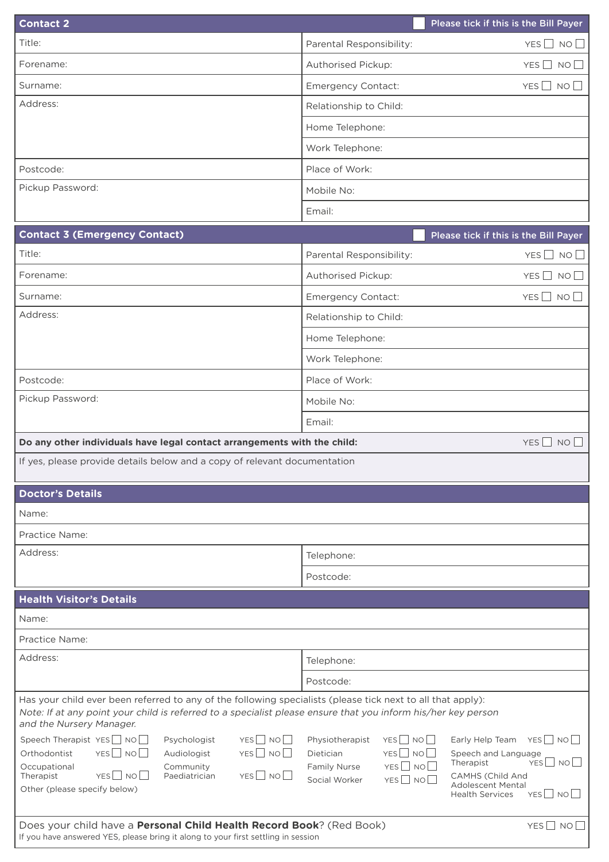| <b>Contact 2</b>                                                                                                                                                                                                                                         | Please tick if this is the Bill Payer                                                                                                                                                                                                                                                                       |  |  |  |  |
|----------------------------------------------------------------------------------------------------------------------------------------------------------------------------------------------------------------------------------------------------------|-------------------------------------------------------------------------------------------------------------------------------------------------------------------------------------------------------------------------------------------------------------------------------------------------------------|--|--|--|--|
| Title:                                                                                                                                                                                                                                                   | Parental Responsibility:<br>YES NO                                                                                                                                                                                                                                                                          |  |  |  |  |
| Forename:                                                                                                                                                                                                                                                | Authorised Pickup:<br>YES NO                                                                                                                                                                                                                                                                                |  |  |  |  |
| Surname:                                                                                                                                                                                                                                                 | $YES$ NO<br>Emergency Contact:                                                                                                                                                                                                                                                                              |  |  |  |  |
| Address:                                                                                                                                                                                                                                                 | Relationship to Child:                                                                                                                                                                                                                                                                                      |  |  |  |  |
|                                                                                                                                                                                                                                                          | Home Telephone:                                                                                                                                                                                                                                                                                             |  |  |  |  |
|                                                                                                                                                                                                                                                          | Work Telephone:                                                                                                                                                                                                                                                                                             |  |  |  |  |
| Postcode:                                                                                                                                                                                                                                                | Place of Work:                                                                                                                                                                                                                                                                                              |  |  |  |  |
| Pickup Password:                                                                                                                                                                                                                                         | Mobile No:                                                                                                                                                                                                                                                                                                  |  |  |  |  |
|                                                                                                                                                                                                                                                          | Email:                                                                                                                                                                                                                                                                                                      |  |  |  |  |
| <b>Contact 3 (Emergency Contact)</b>                                                                                                                                                                                                                     | Please tick if this is the Bill Payer                                                                                                                                                                                                                                                                       |  |  |  |  |
| Title:                                                                                                                                                                                                                                                   | Parental Responsibility:<br>YES $\Box$ NO $\Box$                                                                                                                                                                                                                                                            |  |  |  |  |
| Forename:                                                                                                                                                                                                                                                | Authorised Pickup:<br>$YES \nightharpoonup NO \nightharpoonup$                                                                                                                                                                                                                                              |  |  |  |  |
| Surname:                                                                                                                                                                                                                                                 | $YES$ NO<br><b>Emergency Contact:</b>                                                                                                                                                                                                                                                                       |  |  |  |  |
| Address:                                                                                                                                                                                                                                                 | Relationship to Child:                                                                                                                                                                                                                                                                                      |  |  |  |  |
|                                                                                                                                                                                                                                                          | Home Telephone:                                                                                                                                                                                                                                                                                             |  |  |  |  |
|                                                                                                                                                                                                                                                          | Work Telephone:                                                                                                                                                                                                                                                                                             |  |  |  |  |
| Postcode:                                                                                                                                                                                                                                                | Place of Work:                                                                                                                                                                                                                                                                                              |  |  |  |  |
| Pickup Password:                                                                                                                                                                                                                                         | Mobile No:                                                                                                                                                                                                                                                                                                  |  |  |  |  |
|                                                                                                                                                                                                                                                          | Email:                                                                                                                                                                                                                                                                                                      |  |  |  |  |
| $YES$ NO<br>Do any other individuals have legal contact arrangements with the child:                                                                                                                                                                     |                                                                                                                                                                                                                                                                                                             |  |  |  |  |
| If yes, please provide details below and a copy of relevant documentation                                                                                                                                                                                |                                                                                                                                                                                                                                                                                                             |  |  |  |  |
|                                                                                                                                                                                                                                                          |                                                                                                                                                                                                                                                                                                             |  |  |  |  |
| <b>Doctor's Details</b><br>Name:                                                                                                                                                                                                                         |                                                                                                                                                                                                                                                                                                             |  |  |  |  |
| Practice Name:                                                                                                                                                                                                                                           |                                                                                                                                                                                                                                                                                                             |  |  |  |  |
| Address:                                                                                                                                                                                                                                                 | Telephone:                                                                                                                                                                                                                                                                                                  |  |  |  |  |
|                                                                                                                                                                                                                                                          |                                                                                                                                                                                                                                                                                                             |  |  |  |  |
|                                                                                                                                                                                                                                                          | Postcode:                                                                                                                                                                                                                                                                                                   |  |  |  |  |
| <b>Health Visitor's Details</b>                                                                                                                                                                                                                          |                                                                                                                                                                                                                                                                                                             |  |  |  |  |
| Name:<br>Practice Name:                                                                                                                                                                                                                                  |                                                                                                                                                                                                                                                                                                             |  |  |  |  |
| Address:                                                                                                                                                                                                                                                 | Telephone:                                                                                                                                                                                                                                                                                                  |  |  |  |  |
|                                                                                                                                                                                                                                                          | Postcode:                                                                                                                                                                                                                                                                                                   |  |  |  |  |
| Has your child ever been referred to any of the following specialists (please tick next to all that apply):<br>Note: If at any point your child is referred to a specialist please ensure that you inform his/her key person<br>and the Nursery Manager. |                                                                                                                                                                                                                                                                                                             |  |  |  |  |
| Speech Therapist YES $\Box$ NO $\Box$<br>YES NO<br>Psychologist<br>$YES$ NO<br>$YES$ NO<br>Orthodontist<br>Audiologist<br>Occupational<br>Community<br>YES NO<br>Paediatrician<br>YES NO<br>Therapist<br>Other (please specify below)                    | YES NO<br>Physiotherapist<br>Early Help Team $YES \Box NO \Box$<br>$YES \cup NO \cup$<br><b>Dietician</b><br>Speech and Language<br>YESUNO<br>Therapist<br>$YES$ NO<br><b>Family Nurse</b><br>CAMHS (Child And<br>$YES$ NO<br>Social Worker<br><b>Adolescent Mental</b><br>YES NO<br><b>Health Services</b> |  |  |  |  |

| Does your child have a Personal Child Health Record Book? (Red Book)              | $YES \Box NO \Box$ |
|-----------------------------------------------------------------------------------|--------------------|
| If you have answered YES, please bring it along to your first settling in session |                    |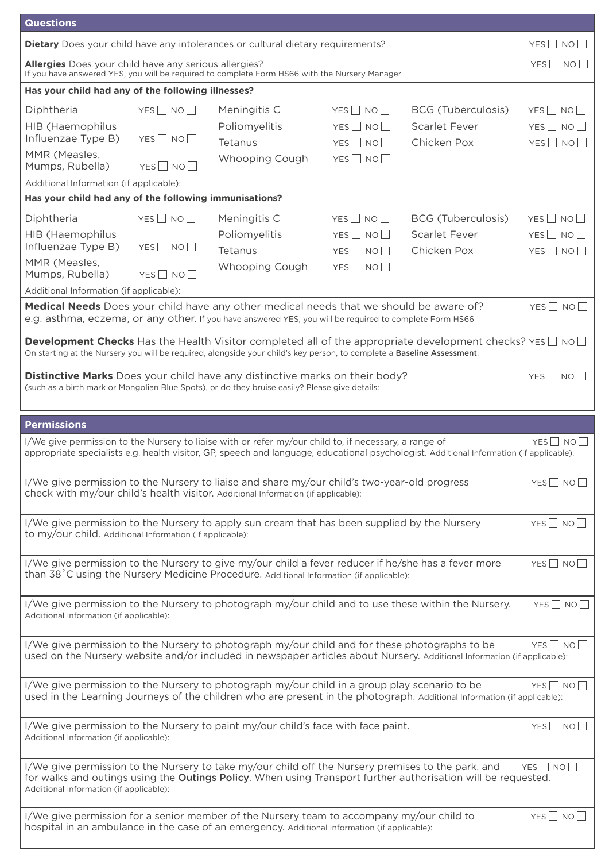| <b>Questions</b>                                                                                                                                                                                                                                                           |                    |                                                                                                                                                                                                          |                                |                                                                                                                            |                  |  |  |
|----------------------------------------------------------------------------------------------------------------------------------------------------------------------------------------------------------------------------------------------------------------------------|--------------------|----------------------------------------------------------------------------------------------------------------------------------------------------------------------------------------------------------|--------------------------------|----------------------------------------------------------------------------------------------------------------------------|------------------|--|--|
| <b>Dietary</b> Does your child have any intolerances or cultural dietary requirements?                                                                                                                                                                                     |                    |                                                                                                                                                                                                          |                                |                                                                                                                            |                  |  |  |
| Allergies Does your child have any serious allergies?<br>YES NO<br>If you have answered YES, you will be required to complete Form HS66 with the Nursery Manager                                                                                                           |                    |                                                                                                                                                                                                          |                                |                                                                                                                            |                  |  |  |
| Has your child had any of the following illnesses?                                                                                                                                                                                                                         |                    |                                                                                                                                                                                                          |                                |                                                                                                                            |                  |  |  |
| Diphtheria                                                                                                                                                                                                                                                                 | $YES$ NO           | Meningitis C                                                                                                                                                                                             | $YES$ NO                       | <b>BCG (Tuberculosis)</b>                                                                                                  | YES NO           |  |  |
| HIB (Haemophilus<br>Influenzae Type B)                                                                                                                                                                                                                                     | $YES$ NO           | Poliomyelitis<br>Tetanus                                                                                                                                                                                 | $YES \Box NO \Box$<br>$YES$ NO | <b>Scarlet Fever</b><br>Chicken Pox                                                                                        | YES NO<br>YES NO |  |  |
| MMR (Measles,<br>Mumps, Rubella)                                                                                                                                                                                                                                           | $YES$ NO           | Whooping Cough                                                                                                                                                                                           | $YES$ NO                       |                                                                                                                            |                  |  |  |
| Additional Information (if applicable):                                                                                                                                                                                                                                    |                    |                                                                                                                                                                                                          |                                |                                                                                                                            |                  |  |  |
| Has your child had any of the following immunisations?                                                                                                                                                                                                                     |                    |                                                                                                                                                                                                          |                                |                                                                                                                            |                  |  |  |
| Diphtheria                                                                                                                                                                                                                                                                 | $YES$ NO           | Meningitis C                                                                                                                                                                                             | YES NO                         | <b>BCG (Tuberculosis)</b>                                                                                                  | $YES$ NO         |  |  |
| HIB (Haemophilus                                                                                                                                                                                                                                                           |                    | Poliomyelitis                                                                                                                                                                                            | YES NO                         | <b>Scarlet Fever</b>                                                                                                       | YES NO I         |  |  |
| Influenzae Type B)                                                                                                                                                                                                                                                         | $YES \Box NO \Box$ | Tetanus                                                                                                                                                                                                  | YES NO                         | Chicken Pox                                                                                                                | $YES$ NO         |  |  |
| MMR (Measles,<br>Mumps, Rubella)                                                                                                                                                                                                                                           | $YES$ NO           | Whooping Cough                                                                                                                                                                                           | YES NO                         |                                                                                                                            |                  |  |  |
| Additional Information (if applicable):                                                                                                                                                                                                                                    |                    |                                                                                                                                                                                                          |                                |                                                                                                                            |                  |  |  |
|                                                                                                                                                                                                                                                                            |                    | <b>Medical Needs</b> Does your child have any other medical needs that we should be aware of?<br>e.g. asthma, eczema, or any other. If you have answered YES, you will be required to complete Form HS66 |                                |                                                                                                                            | YES NO           |  |  |
|                                                                                                                                                                                                                                                                            |                    | On starting at the Nursery you will be required, alongside your child's key person, to complete a Baseline Assessment.                                                                                   |                                | <b>Development Checks</b> Has the Health Visitor completed all of the appropriate development checks? YES $\Box$ NO $\Box$ |                  |  |  |
|                                                                                                                                                                                                                                                                            |                    |                                                                                                                                                                                                          |                                |                                                                                                                            |                  |  |  |
|                                                                                                                                                                                                                                                                            |                    | Distinctive Marks Does your child have any distinctive marks on their body?<br>(such as a birth mark or Mongolian Blue Spots), or do they bruise easily? Please give details:                            |                                |                                                                                                                            | $YES$ NO         |  |  |
|                                                                                                                                                                                                                                                                            |                    |                                                                                                                                                                                                          |                                |                                                                                                                            |                  |  |  |
| <b>Permissions</b>                                                                                                                                                                                                                                                         |                    |                                                                                                                                                                                                          |                                |                                                                                                                            |                  |  |  |
| I/We give permission to the Nursery to liaise with or refer my/our child to, if necessary, a range of<br>YES NO<br>appropriate specialists e.g. health visitor, GP, speech and language, educational psychologist. Additional Information (if applicable):                 |                    |                                                                                                                                                                                                          |                                |                                                                                                                            |                  |  |  |
| I/We give permission to the Nursery to liaise and share my/our child's two-year-old progress<br>$YES$ NO<br>check with my/our child's health visitor. Additional Information (if applicable):                                                                              |                    |                                                                                                                                                                                                          |                                |                                                                                                                            |                  |  |  |
| YES NO<br>I/We give permission to the Nursery to apply sun cream that has been supplied by the Nursery<br>to my/our child. Additional Information (if applicable):                                                                                                         |                    |                                                                                                                                                                                                          |                                |                                                                                                                            |                  |  |  |
| I/We give permission to the Nursery to give my/our child a fever reducer if he/she has a fever more<br>YES NO<br>than 38°C using the Nursery Medicine Procedure. Additional Information (if applicable):                                                                   |                    |                                                                                                                                                                                                          |                                |                                                                                                                            |                  |  |  |
| I/We give permission to the Nursery to photograph my/our child and to use these within the Nursery.<br>YES NO<br>Additional Information (if applicable):                                                                                                                   |                    |                                                                                                                                                                                                          |                                |                                                                                                                            |                  |  |  |
| I/We give permission to the Nursery to photograph my/our child and for these photographs to be<br>YES NO<br>used on the Nursery website and/or included in newspaper articles about Nursery. Additional Information (if applicable):                                       |                    |                                                                                                                                                                                                          |                                |                                                                                                                            |                  |  |  |
| I/We give permission to the Nursery to photograph my/our child in a group play scenario to be<br>YES NO<br>used in the Learning Journeys of the children who are present in the photograph. Additional Information (if applicable):                                        |                    |                                                                                                                                                                                                          |                                |                                                                                                                            |                  |  |  |
| I/We give permission to the Nursery to paint my/our child's face with face paint.<br>YES NO<br>Additional Information (if applicable):                                                                                                                                     |                    |                                                                                                                                                                                                          |                                |                                                                                                                            |                  |  |  |
| I/We give permission to the Nursery to take my/our child off the Nursery premises to the park, and<br>$YES$ NO<br>for walks and outings using the Outings Policy. When using Transport further authorisation will be requested.<br>Additional Information (if applicable): |                    |                                                                                                                                                                                                          |                                |                                                                                                                            |                  |  |  |
| I/We give permission for a senior member of the Nursery team to accompany my/our child to<br>$YES$ NO<br>hospital in an ambulance in the case of an emergency. Additional Information (if applicable):                                                                     |                    |                                                                                                                                                                                                          |                                |                                                                                                                            |                  |  |  |